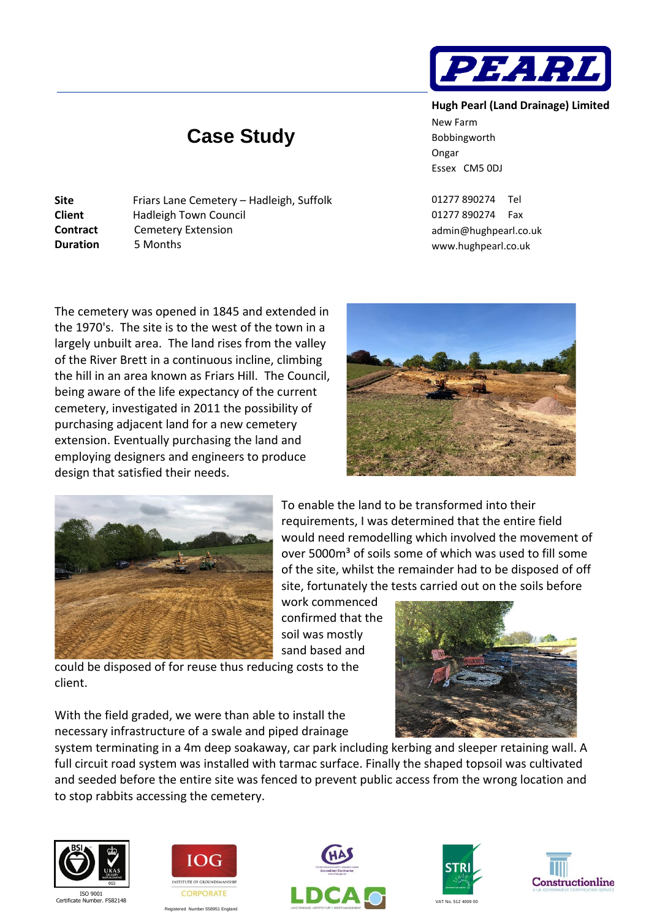## **Case Study**

| Site            | Friars Lane Cemetery - Hadleigh, Suffolk |
|-----------------|------------------------------------------|
| <b>Client</b>   | Hadleigh Town Council                    |
| <b>Contract</b> | <b>Cemetery Extension</b>                |
| <b>Duration</b> | 5 Months                                 |
|                 |                                          |

**Hugh Pearl (Land Drainage) Limited** New Farm Bobbingworth Ongar Essex CM5 0DJ

PEAR.

01277 890274 Tel 01277 890274 Fax [admin@hughpearl.co.uk](mailto:admin@hughpearl.co.uk) www.hughpearl.co.uk

The cemetery was opened in 1845 and extended in the 1970's. The site is to the west of the town in a largely unbuilt area. The land rises from the valley of the River Brett in a continuous incline, climbing the hill in an area known as Friars Hill. The Council, being aware of the life expectancy of the current cemetery, investigated in 2011 the possibility of purchasing adjacent land for a new cemetery extension. Eventually purchasing the land and employing designers and engineers to produce design that satisfied their needs.





To enable the land to be transformed into their requirements, I was determined that the entire field would need remodelling which involved the movement of over 5000m<sup>3</sup> of soils some of which was used to fill some of the site, whilst the remainder had to be disposed of off site, fortunately the tests carried out on the soils before

work commenced confirmed that the soil was mostly sand based and

could be disposed of for reuse thus reducing costs to the client.

With the field graded, we were than able to install the necessary infrastructure of a swale and piped drainage

system terminating in a 4m deep soakaway, car park including kerbing and sleeper retaining wall. A full circuit road system was installed with tarmac surface. Finally the shaped topsoil was cultivated and seeded before the entire site was fenced to prevent public access from the wrong location and to stop rabbits accessing the cemetery.